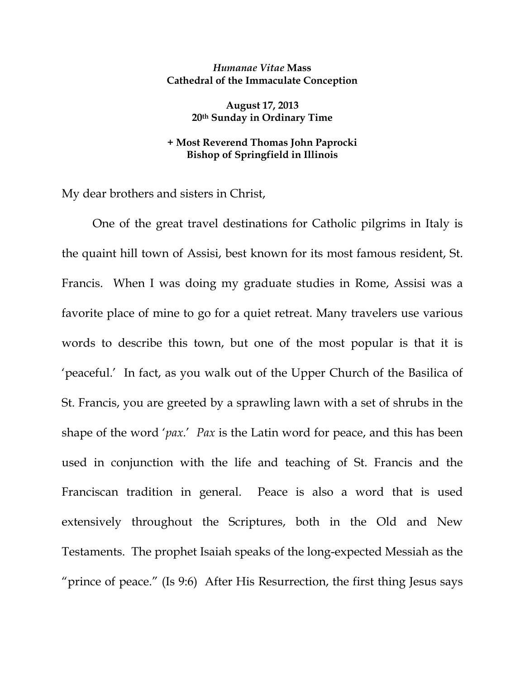## *Humanae Vitae* **Mass Cathedral of the Immaculate Conception**

**August 17, 2013 20th Sunday in Ordinary Time** 

## **+ Most Reverend Thomas John Paprocki Bishop of Springfield in Illinois**

My dear brothers and sisters in Christ,

 One of the great travel destinations for Catholic pilgrims in Italy is the quaint hill town of Assisi, best known for its most famous resident, St. Francis. When I was doing my graduate studies in Rome, Assisi was a favorite place of mine to go for a quiet retreat. Many travelers use various words to describe this town, but one of the most popular is that it is 'peaceful.' In fact, as you walk out of the Upper Church of the Basilica of St. Francis, you are greeted by a sprawling lawn with a set of shrubs in the shape of the word '*pax.*' *Pax* is the Latin word for peace, and this has been used in conjunction with the life and teaching of St. Francis and the Franciscan tradition in general. Peace is also a word that is used extensively throughout the Scriptures, both in the Old and New Testaments. The prophet Isaiah speaks of the long-expected Messiah as the "prince of peace." (Is 9:6) After His Resurrection, the first thing Jesus says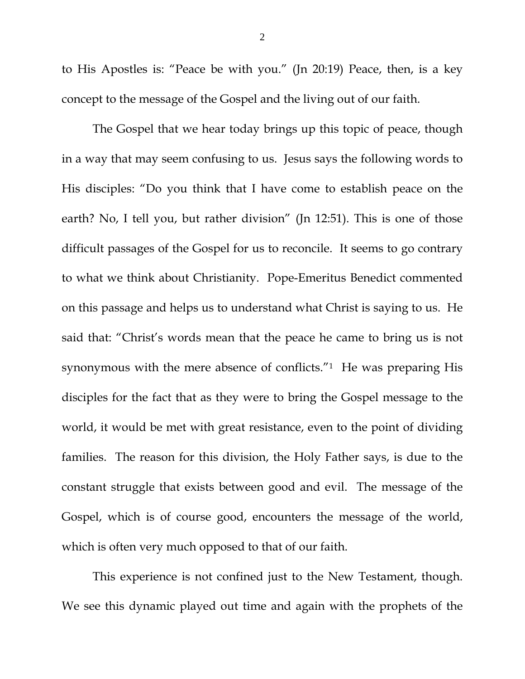to His Apostles is: "Peace be with you." (Jn 20:19) Peace, then, is a key concept to the message of the Gospel and the living out of our faith.

 The Gospel that we hear today brings up this topic of peace, though in a way that may seem confusing to us. Jesus says the following words to His disciples: "Do you think that I have come to establish peace on the earth? No, I tell you, but rather division" (Jn 12:51). This is one of those difficult passages of the Gospel for us to reconcile. It seems to go contrary to what we think about Christianity. Pope-Emeritus Benedict commented on this passage and helps us to understand what Christ is saying to us. He said that: "Christ's words mean that the peace he came to bring us is not synonymous with the mere absence of conflicts."<sup>1</sup> He was preparing His disciples for the fact that as they were to bring the Gospel message to the world, it would be met with great resistance, even to the point of dividing families. The reason for this division, the Holy Father says, is due to the constant struggle that exists between good and evil. The message of the Gospel, which is of course good, encounters the message of the world, which is often very much opposed to that of our faith.

 This experience is not confined just to the New Testament, though. We see this dynamic played out time and again with the prophets of the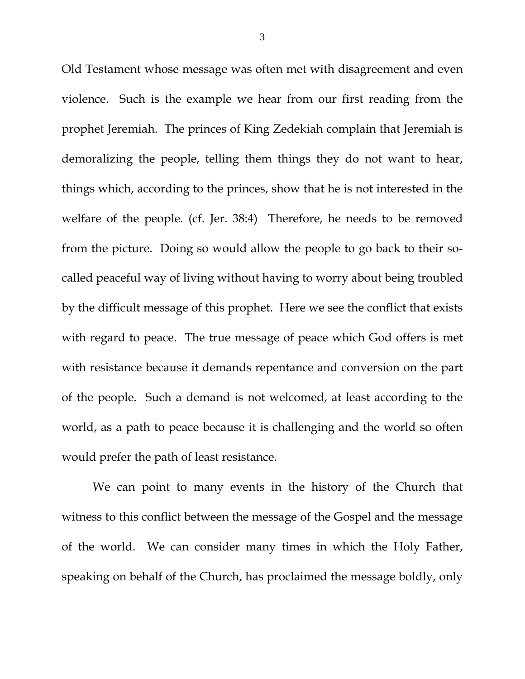Old Testament whose message was often met with disagreement and even violence. Such is the example we hear from our first reading from the prophet Jeremiah. The princes of King Zedekiah complain that Jeremiah is demoralizing the people, telling them things they do not want to hear, things which, according to the princes, show that he is not interested in the welfare of the people. (cf. Jer. 38:4) Therefore, he needs to be removed from the picture. Doing so would allow the people to go back to their socalled peaceful way of living without having to worry about being troubled by the difficult message of this prophet. Here we see the conflict that exists with regard to peace. The true message of peace which God offers is met with resistance because it demands repentance and conversion on the part of the people. Such a demand is not welcomed, at least according to the world, as a path to peace because it is challenging and the world so often would prefer the path of least resistance.

 We can point to many events in the history of the Church that witness to this conflict between the message of the Gospel and the message of the world. We can consider many times in which the Holy Father, speaking on behalf of the Church, has proclaimed the message boldly, only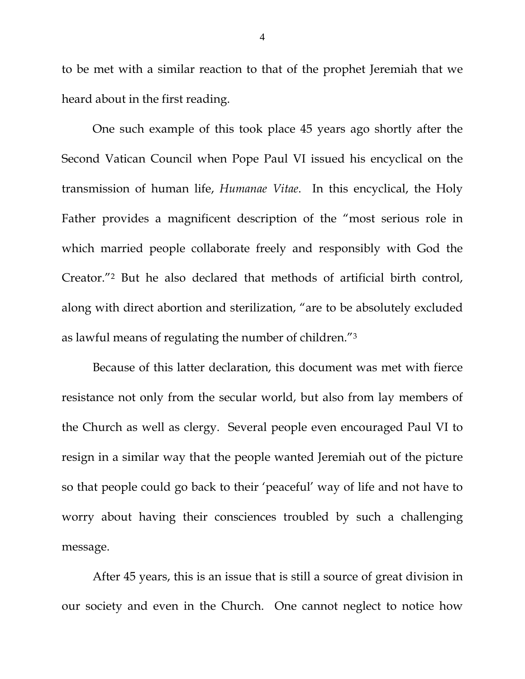to be met with a similar reaction to that of the prophet Jeremiah that we heard about in the first reading.

One such example of this took place 45 years ago shortly after the Second Vatican Council when Pope Paul VI issued his encyclical on the transmission of human life, *Humanae Vitae*. In this encyclical, the Holy Father provides a magnificent description of the "most serious role in which married people collaborate freely and responsibly with God the Creator."2 But he also declared that methods of artificial birth control, along with direct abortion and sterilization, "are to be absolutely excluded as lawful means of regulating the number of children."3

Because of this latter declaration, this document was met with fierce resistance not only from the secular world, but also from lay members of the Church as well as clergy. Several people even encouraged Paul VI to resign in a similar way that the people wanted Jeremiah out of the picture so that people could go back to their 'peaceful' way of life and not have to worry about having their consciences troubled by such a challenging message.

 After 45 years, this is an issue that is still a source of great division in our society and even in the Church. One cannot neglect to notice how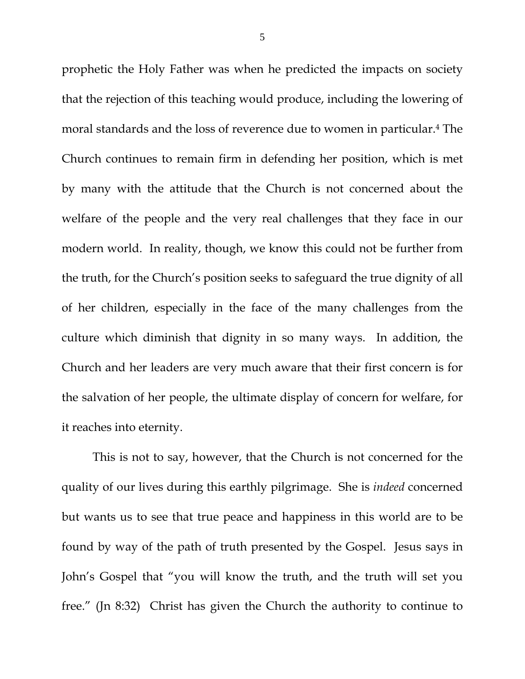prophetic the Holy Father was when he predicted the impacts on society that the rejection of this teaching would produce, including the lowering of moral standards and the loss of reverence due to women in particular.4 The Church continues to remain firm in defending her position, which is met by many with the attitude that the Church is not concerned about the welfare of the people and the very real challenges that they face in our modern world. In reality, though, we know this could not be further from the truth, for the Church's position seeks to safeguard the true dignity of all of her children, especially in the face of the many challenges from the culture which diminish that dignity in so many ways. In addition, the Church and her leaders are very much aware that their first concern is for the salvation of her people, the ultimate display of concern for welfare, for it reaches into eternity.

 This is not to say, however, that the Church is not concerned for the quality of our lives during this earthly pilgrimage. She is *indeed* concerned but wants us to see that true peace and happiness in this world are to be found by way of the path of truth presented by the Gospel. Jesus says in John's Gospel that "you will know the truth, and the truth will set you free." (Jn 8:32) Christ has given the Church the authority to continue to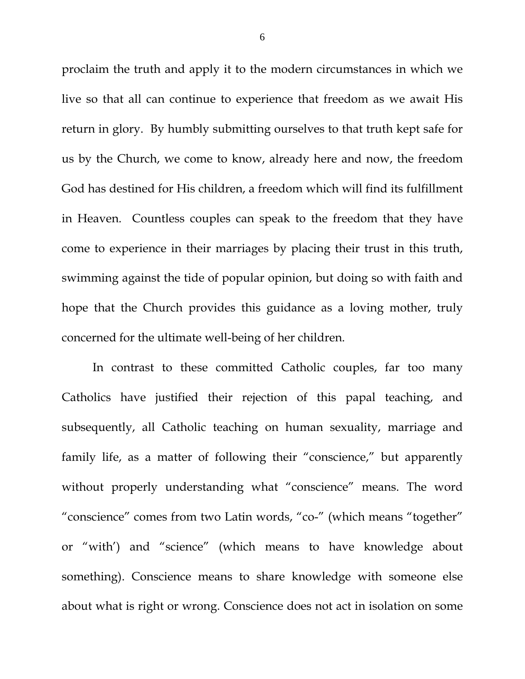proclaim the truth and apply it to the modern circumstances in which we live so that all can continue to experience that freedom as we await His return in glory. By humbly submitting ourselves to that truth kept safe for us by the Church, we come to know, already here and now, the freedom God has destined for His children, a freedom which will find its fulfillment in Heaven. Countless couples can speak to the freedom that they have come to experience in their marriages by placing their trust in this truth, swimming against the tide of popular opinion, but doing so with faith and hope that the Church provides this guidance as a loving mother, truly concerned for the ultimate well-being of her children.

In contrast to these committed Catholic couples, far too many Catholics have justified their rejection of this papal teaching, and subsequently, all Catholic teaching on human sexuality, marriage and family life, as a matter of following their "conscience," but apparently without properly understanding what "conscience" means. The word "conscience" comes from two Latin words, "co-" (which means "together" or "with') and "science" (which means to have knowledge about something). Conscience means to share knowledge with someone else about what is right or wrong. Conscience does not act in isolation on some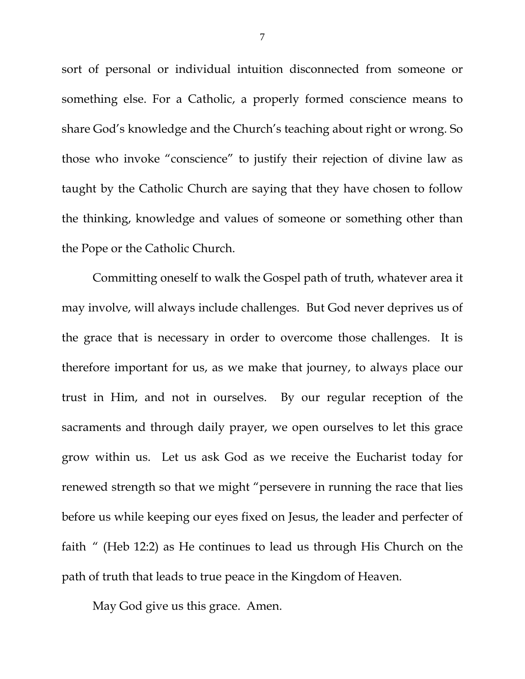sort of personal or individual intuition disconnected from someone or something else. For a Catholic, a properly formed conscience means to share God's knowledge and the Church's teaching about right or wrong. So those who invoke "conscience" to justify their rejection of divine law as taught by the Catholic Church are saying that they have chosen to follow the thinking, knowledge and values of someone or something other than the Pope or the Catholic Church.

Committing oneself to walk the Gospel path of truth, whatever area it may involve, will always include challenges. But God never deprives us of the grace that is necessary in order to overcome those challenges. It is therefore important for us, as we make that journey, to always place our trust in Him, and not in ourselves. By our regular reception of the sacraments and through daily prayer, we open ourselves to let this grace grow within us. Let us ask God as we receive the Eucharist today for renewed strength so that we might "persevere in running the race that lies before us while keeping our eyes fixed on Jesus, the leader and perfecter of faith " (Heb 12:2) as He continues to lead us through His Church on the path of truth that leads to true peace in the Kingdom of Heaven.

May God give us this grace. Amen.